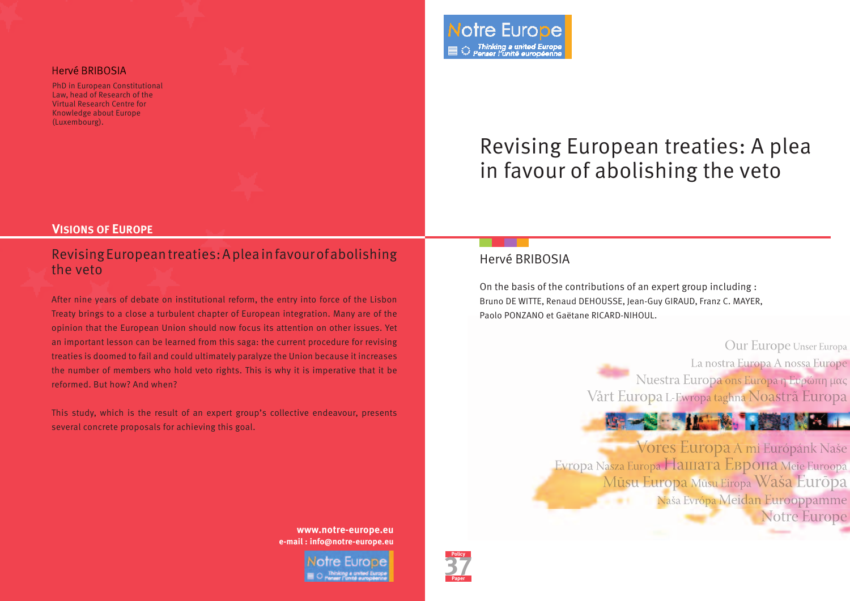### Hervé BRIBOSIA

PhD in European Constitutional Law, head of Research of the Virtual Research Centre for Knowledge about Europe (Luxembourg).



# Revising European treaties: A plea in favour of abolishing the veto

### **VISIONS OF EUROPE**

### Revising European treaties: A plea in favour of abolishing the veto

After nine years of debate on institutional reform, the entry into force of the Lisbon Treaty brings to a close a turbulent chapter of European integration. Many are of the opinion that the European Union should now focus its attention on other issues. Yet an important lesson can be learned from this saga: the current procedure for revising treaties is doomed to fail and could ultimately paralyze the Union because it increases the number of members who hold veto rights. This is why it is imperative that it be reformed. But how? And when?

This study, which is the result of an expert group's collective endeavour, presents several concrete proposals for achieving this goal.

### Hervé BRIBOSIA

On the basis of the contributions of an expert group including : Bruno DE WITTE, Renaud DEHOUSSE, Jean-Guy GIRAUD, Franz C. MAYER, Paolo PONZANO et Gaëtane RICARD-NIHOUL.

> Our Europe Unser Europa La nostra Europa A nossa Europe Nuestra Europa ons Europa η Ευρώπη μας Vårt Europa L-Ewropa taghna Noastrã Europa

Vores Europa A mi Európánk Naše Evropa Nasza Europa HaIIIaTa EBpOПа Meie Euroopa Mūsu Europa Mūsu Eiropa Waša Eurōpa Naša Evrópa Meidan Eurooppamme -**Notre Europe** 

**www.notre-europe.eu e-mail : info@notre-europe.eu** 

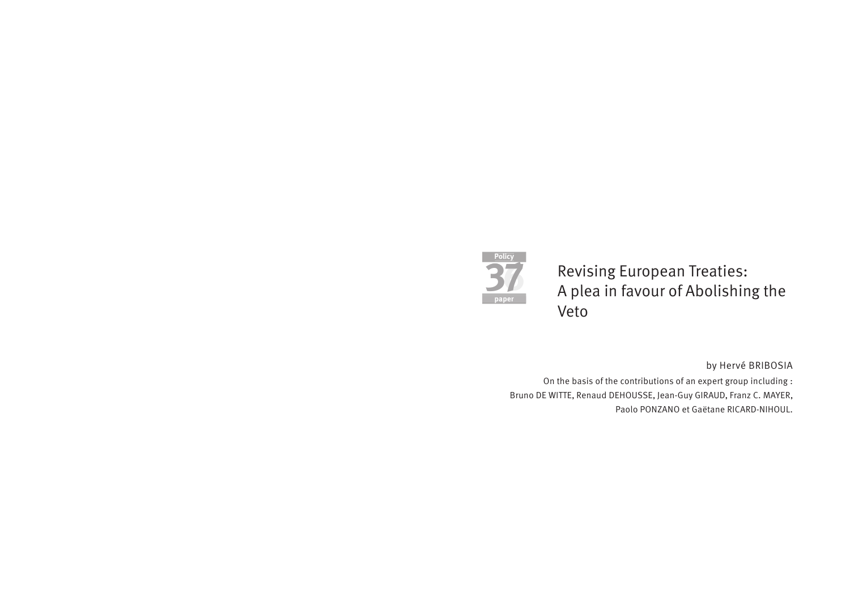

Revising European Treaties: A plea in favour of Abolishing the Veto

by Hervé BRIBOSIA

On the basis of the contributions of an expert group including : Bruno DE WITTE, Renaud DEHOUSSE, Jean-Guy GIRAUD, Franz C. MAYER, Paolo PONZANO et Gaëtane RICARD-NIHOUL.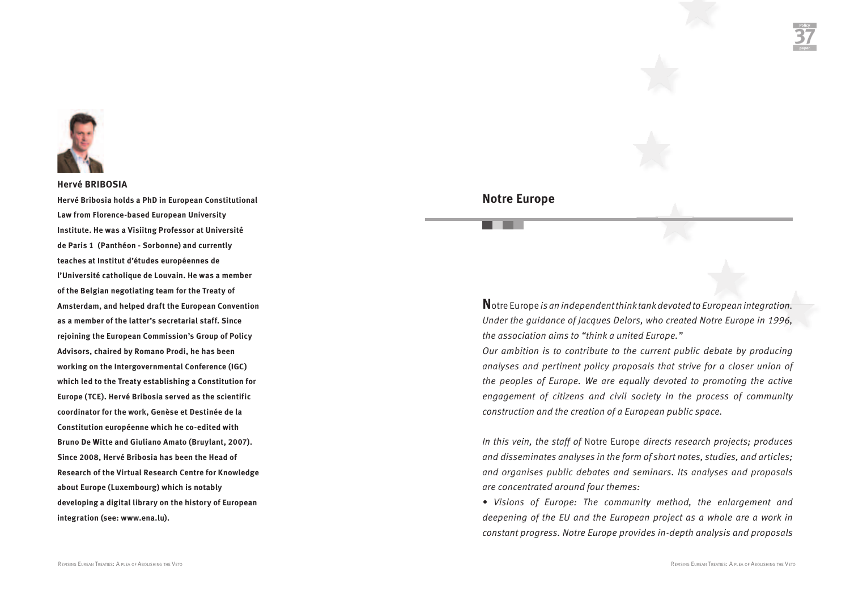

### **Hervé BRIBOSIA**

**Hervé Bribosia holds a PhD in European Constitutional Law from Florence-based European University Institute. He was a Visiitng Professor at Université de Paris 1 (Panthéon - Sorbonne) and currently teaches at Institut d'études européennes de l'Université catholique de Louvain. He was a member of the Belgian negotiating team for the Treaty of Amsterdam, and helped draft the European Convention as a member of the latter's secretarial staff. Since rejoining the European Commission's Group of Policy Advisors, chaired by Romano Prodi, he has been working on the Intergovernmental Conference (IGC) which led to the Treaty establishing a Constitution for Europe (TCE). Hervé Bribosia served as the scientific coordinator for the work, Genèse et Destinée de la Constitution européenne which he co-edited with Bruno De Witte and Giuliano Amato (Bruylant, 2007). Since 2008, Hervé Bribosia has been the Head of Research of the Virtual Research Centre for Knowledge about Europe (Luxembourg) which is notably developing a digital library on the history of European integration (see: www.ena.lu).**

# paper de la paper de la paper de la paper de la paper de la paper de la paper de la paper de la paper de la pape<br>Notre Europe<br>De la paper de la paper de la paper de la paper de la paper de la paper de la paper de la paper

**N**otre Europe *is an independent think tank devoted to European integration. Under the guidance of Jacques Delors, who created Notre Europe in 1996, the association aims to "think a united Europe."* 

*Our ambition is to contribute to the current public debate by producing analyses and pertinent policy proposals that strive for a closer union of the peoples of Europe. We are equally devoted to promoting the active engagement of citizens and civil society in the process of community construction and the creation of a European public space.* 

*In this vein, the staff of* Notre Europe *directs research projects; produces and disseminates analyses in the form of short notes, studies, and articles; and organises public debates and seminars. Its analyses and proposals are concentrated around four themes:*

*• Visions of Europe: The community method, the enlargement and deepening of the EU and the European project as a whole are a work in constant progress. Notre Europe provides in-depth analysis and proposals*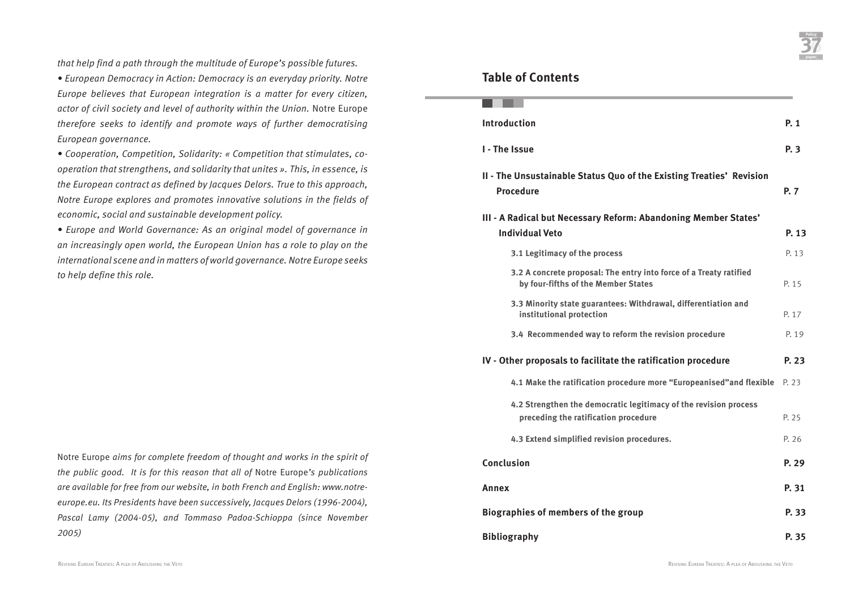*that help find a path through the multitude of Europe's possible futures.*

*• European Democracy in Action: Democracy is an everyday priority. Notre Europe believes that European integration is a matter for every citizen, actor of civil society and level of authority within the Union.* Notre Europe *therefore seeks to identify and promote ways of further democratising European governance.* 

*• Cooperation, Competition, Solidarity: « Competition that stimulates, cooperation that strengthens, and solidarity that unites ». This, in essence, is the European contract as defined by Jacques Delors. True to this approach, Notre Europe explores and promotes innovative solutions in the fields of economic, social and sustainable development policy.*

*• Europe and World Governance: As an original model of governance in an increasingly open world, the European Union has a role to play on the international scene and in matters of world governance. Notre Europe seeks to help define this role.*

Notre Europe *aims for complete freedom of thought and works in the spirit of the public good. It is for this reason that all of* Notre Europe*'s publications are available for free from our website, in both French and English: www.notreeurope.eu. Its Presidents have been successively, Jacques Delors (1996-2004), Pascal Lamy (2004-05), and Tommaso Padoa-Schioppa (since November 2005)*

# Table of Contents<br>Table of Contents

| <b>Introduction</b>                                                                                       | P. 1  |
|-----------------------------------------------------------------------------------------------------------|-------|
| <b>I</b> - The Issue                                                                                      | P. 3  |
| II - The Unsustainable Status Quo of the Existing Treaties' Revision<br><b>Procedure</b>                  | P. 7  |
| III - A Radical but Necessary Reform: Abandoning Member States'<br><b>Individual Veto</b>                 | P. 13 |
| 3.1 Legitimacy of the process                                                                             | P. 13 |
| 3.2 A concrete proposal: The entry into force of a Treaty ratified<br>by four-fifths of the Member States | P. 15 |
| 3.3 Minority state guarantees: Withdrawal, differentiation and<br>institutional protection                | P. 17 |
| 3.4 Recommended way to reform the revision procedure                                                      | P. 19 |
| IV - Other proposals to facilitate the ratification procedure                                             | P. 23 |
| 4.1 Make the ratification procedure more "Europeanised" and flexible                                      | P. 23 |
| 4.2 Strengthen the democratic legitimacy of the revision process<br>preceding the ratification procedure  | P. 25 |
| 4.3 Extend simplified revision procedures.                                                                | P. 26 |
| Conclusion                                                                                                | P. 29 |
| Annex                                                                                                     | P. 31 |
| <b>Biographies of members of the group</b>                                                                | P. 33 |
| <b>Bibliography</b>                                                                                       | P. 35 |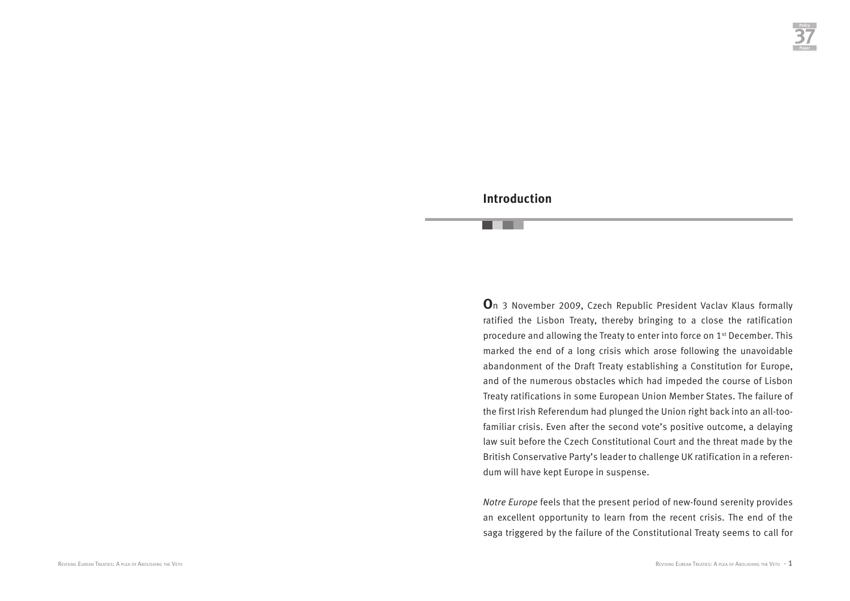### **Introduction**

**O**n 3 November 2009, Czech Republic President Vaclav Klaus formally ratified the Lisbon Treaty, thereby bringing to a close the ratification procedure and allowing the Treaty to enter into force on 1st December. This marked the end of a long crisis which arose following the unavoidable abandonment of the Draft Treaty establishing a Constitution for Europe, and of the numerous obstacles which had impeded the course of Lisbon Treaty ratifications in some European Union Member States. The failure of the first Irish Referendum had plunged the Union right back into an all-toofamiliar crisis. Even after the second vote's positive outcome, a delaying law suit before the Czech Constitutional Court and the threat made by the British Conservative Party's leader to challenge UK ratification in a referendum will have kept Europe in suspense.

*Notre Europe* feels that the present period of new-found serenity provides an excellent opportunity to learn from the recent crisis. The end of the saga triggered by the failure of the Constitutional Treaty seems to call for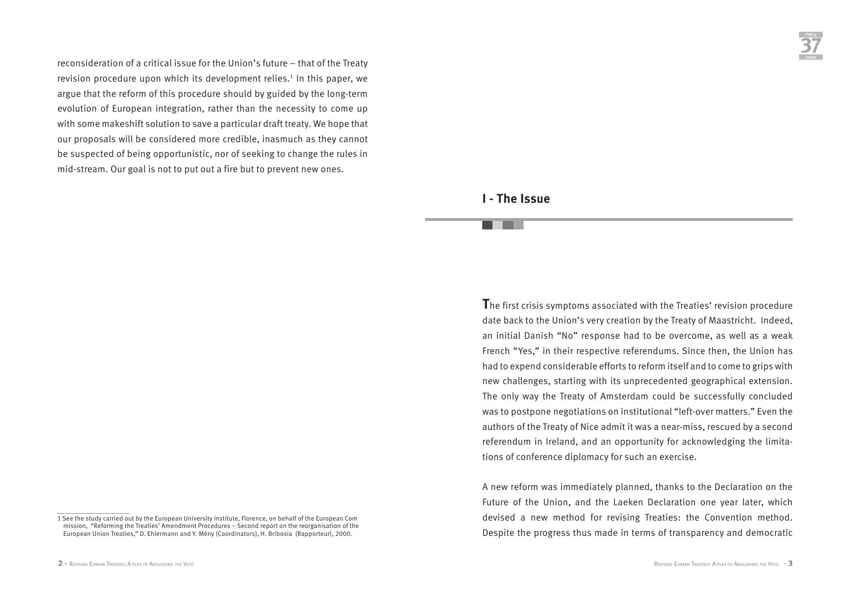reconsideration of a critical issue for the Union's future – that of the Treaty revision procedure upon which its development relies.<sup>1</sup> In this paper, we argue that the reform of this procedure should by guided by the long-term evolution of European integration, rather than the necessity to come up with some makeshift solution to save a particular draft treaty. We hope that our proposals will be considered more credible, inasmuch as they cannot be suspected of being opportunistic, nor of seeking to change the rules in mid-stream. Our goal is not to put out a fire but to prevent new ones.

### **I - The Issue**

**T**he first crisis symptoms associated with the Treaties' revision procedure date back to the Union's very creation by the Treaty of Maastricht. Indeed, an initial Danish "No" response had to be overcome, as well as a weak French "Yes," in their respective referendums. Since then, the Union has had to expend considerable efforts to reform itself and to come to grips with new challenges, starting with its unprecedented geographical extension. The only way the Treaty of Amsterdam could be successfully concluded was to postpone negotiations on institutional "left-over matters." Even the authors of the Treaty of Nice admit it was a near-miss, rescued by a second referendum in Ireland, and an opportunity for acknowledging the limitations of conference diplomacy for such an exercise.

A new reform was immediately planned, thanks to the Declaration on the Future of the Union, and the Laeken Declaration one year later, which devised a new method for revising Treaties: the Convention method. Despite the progress thus made in terms of transparency and democratic

<sup>1</sup> See the study carried out by the European University Institute, Florence, on behalf of the European Com mission, "Reforming the Treaties' Amendment Procedures – Second report on the reorganisation of the European Union Treaties," D. Ehlermann and Y. Mény (Coordinators), H. Bribosia (Rapporteur), 2000.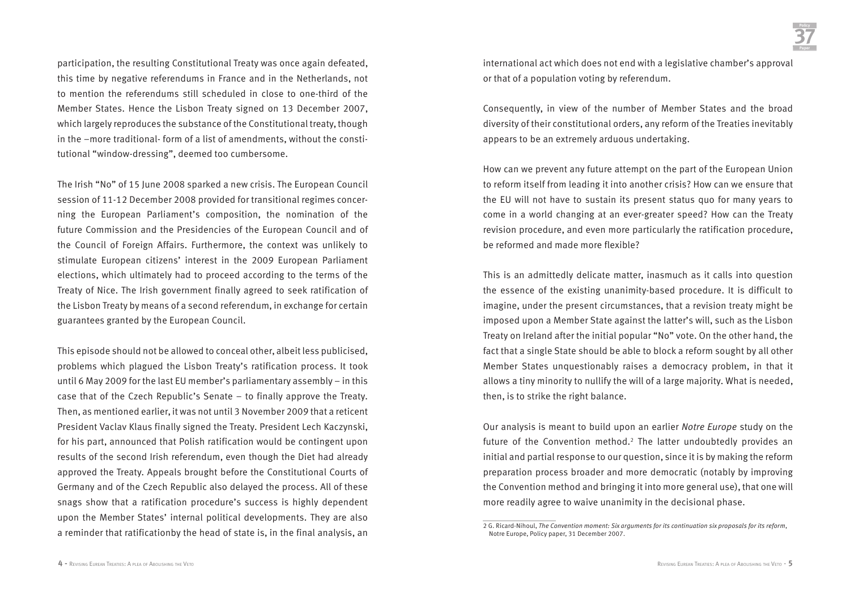participation, the resulting Constitutional Treaty was once again defeated, this time by negative referendums in France and in the Netherlands, not to mention the referendums still scheduled in close to one-third of the Member States. Hence the Lisbon Treaty signed on 13 December 2007, which largely reproduces the substance of the Constitutional treaty, though in the –more traditional- form of a list of amendments, without the constitutional "window-dressing", deemed too cumbersome.

The Irish "No" of 15 June 2008 sparked a new crisis. The European Council session of 11-12 December 2008 provided for transitional regimes concerning the European Parliament's composition, the nomination of the future Commission and the Presidencies of the European Council and of the Council of Foreign Affairs. Furthermore, the context was unlikely to stimulate European citizens' interest in the 2009 European Parliament elections, which ultimately had to proceed according to the terms of the Treaty of Nice. The Irish government finally agreed to seek ratification of the Lisbon Treaty by means of a second referendum, in exchange for certain guarantees granted by the European Council.

This episode should not be allowed to conceal other, albeit less publicised, problems which plagued the Lisbon Treaty's ratification process. It took until 6 May 2009 for the last EU member's parliamentary assembly – in this case that of the Czech Republic's Senate – to finally approve the Treaty. Then, as mentioned earlier, it was not until 3 November 2009 that a reticent President Vaclav Klaus finally signed the Treaty. President Lech Kaczynski, for his part, announced that Polish ratification would be contingent upon results of the second Irish referendum, even though the Diet had already approved the Treaty. Appeals brought before the Constitutional Courts of Germany and of the Czech Republic also delayed the process. All of these snags show that a ratification procedure's success is highly dependent upon the Member States' internal political developments. They are also a reminder that ratificationby the head of state is, in the final analysis, an

international act which does not end with a legislative chamber's approval or that of a population voting by referendum.

Consequently, in view of the number of Member States and the broad diversity of their constitutional orders, any reform of the Treaties inevitably appears to be an extremely arduous undertaking.

How can we prevent any future attempt on the part of the European Union to reform itself from leading it into another crisis? How can we ensure that the EU will not have to sustain its present status quo for many years to come in a world changing at an ever-greater speed? How can the Treaty revision procedure, and even more particularly the ratification procedure, be reformed and made more flexible?

This is an admittedly delicate matter, inasmuch as it calls into question the essence of the existing unanimity-based procedure. It is difficult to imagine, under the present circumstances, that a revision treaty might be imposed upon a Member State against the latter's will, such as the Lisbon Treaty on Ireland after the initial popular "No" vote. On the other hand, the fact that a single State should be able to block a reform sought by all other Member States unquestionably raises a democracy problem, in that it allows a tiny minority to nullify the will of a large majority. What is needed, then, is to strike the right balance.

Our analysis is meant to build upon an earlier *Notre Europe* study on the future of the Convention method.<sup>2</sup> The latter undoubtedly provides an initial and partial response to our question, since it is by making the reform preparation process broader and more democratic (notably by improving the Convention method and bringing it into more general use), that one will more readily agree to waive unanimity in the decisional phase.

<sup>2</sup> G. Ricard-Nihoul, *The Convention moment: Six arguments for its continuation six proposals for its reform*, Notre Europe, Policy paper, 31 December 2007.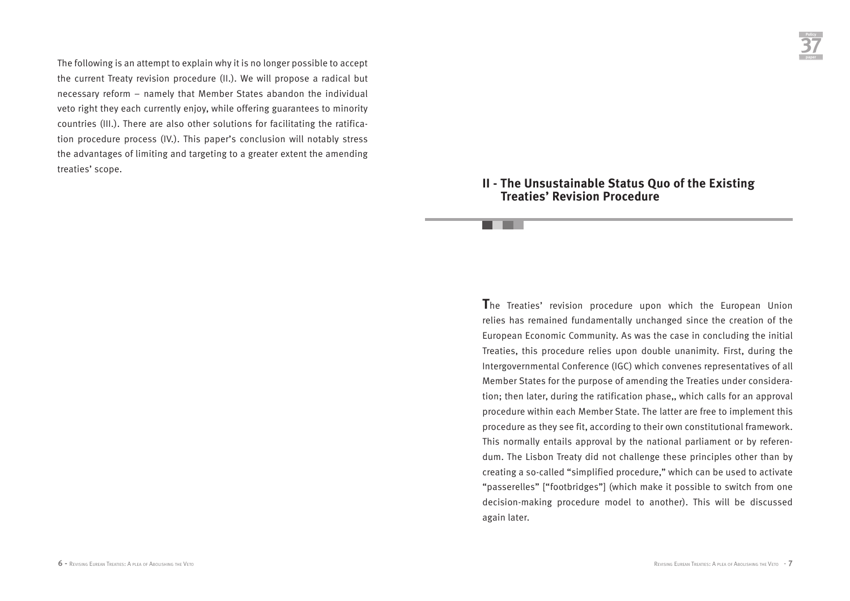The following is an attempt to explain why it is no longer possible to accept the current Treaty revision procedure (II.). We will propose a radical but necessary reform – namely that Member States abandon the individual veto right they each currently enjoy, while offering guarantees to minority countries (III.). There are also other solutions for facilitating the ratification procedure process (IV.). This paper's conclusion will notably stress the advantages of limiting and targeting to a greater extent the amending treaties' scope.

### **II - The Unsustainable Status Quo of the Existing Treaties' Revision Procedure**

**T**he Treaties' revision procedure upon which the European Union relies has remained fundamentally unchanged since the creation of the European Economic Community. As was the case in concluding the initial Treaties, this procedure relies upon double unanimity. First, during the Intergovernmental Conference (IGC) which convenes representatives of all Member States for the purpose of amending the Treaties under consideration; then later, during the ratification phase,, which calls for an approval procedure within each Member State. The latter are free to implement this procedure as they see fit, according to their own constitutional framework. This normally entails approval by the national parliament or by referendum. The Lisbon Treaty did not challenge these principles other than by creating a so-called "simplified procedure," which can be used to activate "passerelles" ["footbridges"] (which make it possible to switch from one decision-making procedure model to another). This will be discussed again later.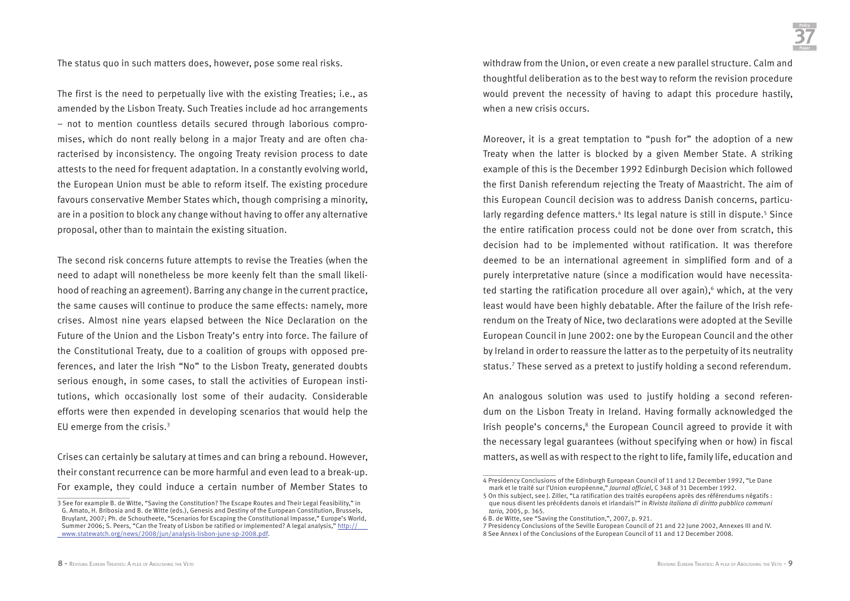The status quo in such matters does, however, pose some real risks.

The first is the need to perpetually live with the existing Treaties; i.e., as amended by the Lisbon Treaty. Such Treaties include ad hoc arrangements – not to mention countless details secured through laborious compromises, which do nont really belong in a major Treaty and are often characterised by inconsistency. The ongoing Treaty revision process to date attests to the need for frequent adaptation. In a constantly evolving world, the European Union must be able to reform itself. The existing procedure favours conservative Member States which, though comprising a minority, are in a position to block any change without having to offer any alternative proposal, other than to maintain the existing situation.

The second risk concerns future attempts to revise the Treaties (when the need to adapt will nonetheless be more keenly felt than the small likelihood of reaching an agreement). Barring any change in the current practice, the same causes will continue to produce the same effects: namely, more crises. Almost nine years elapsed between the Nice Declaration on the Future of the Union and the Lisbon Treaty's entry into force. The failure of the Constitutional Treaty, due to a coalition of groups with opposed preferences, and later the Irish "No" to the Lisbon Treaty, generated doubts serious enough, in some cases, to stall the activities of European institutions, which occasionally lost some of their audacity. Considerable efforts were then expended in developing scenarios that would help the EU emerge from the crisis.3

Crises can certainly be salutary at times and can bring a rebound. However, their constant recurrence can be more harmful and even lead to a break-up. For example, they could induce a certain number of Member States to

withdraw from the Union, or even create a new parallel structure. Calm and thoughtful deliberation as to the best way to reform the revision procedure would prevent the necessity of having to adapt this procedure hastily, when a new crisis occurs.

Moreover, it is a great temptation to "push for" the adoption of a new Treaty when the latter is blocked by a given Member State. A striking example of this is the December 1992 Edinburgh Decision which followed the first Danish referendum rejecting the Treaty of Maastricht. The aim of this European Council decision was to address Danish concerns, particularly regarding defence matters.<sup>4</sup> Its legal nature is still in dispute.<sup>5</sup> Since the entire ratification process could not be done over from scratch, this decision had to be implemented without ratification. It was therefore deemed to be an international agreement in simplified form and of a purely interpretative nature (since a modification would have necessitated starting the ratification procedure all over again), $6$  which, at the very least would have been highly debatable. After the failure of the Irish referendum on the Treaty of Nice, two declarations were adopted at the Seville European Council in June 2002: one by the European Council and the other by Ireland in order to reassure the latter as to the perpetuity of its neutrality status.7 These served as a pretext to justify holding a second referendum.

An analogous solution was used to justify holding a second referendum on the Lisbon Treaty in Ireland. Having formally acknowledged the Irish people's concerns, $8$  the European Council agreed to provide it with the necessary legal guarantees (without specifying when or how) in fiscal matters, as well as with respect to the right to life, family life, education and

<sup>3</sup> See for example B. de Witte, "Saving the Constitution? The Escape Routes and Their Legal Feasibility," in G. Amato, H. Bribosia and B. de Witte (eds.), Genesis and Destiny of the European Constitution, Brussels, Bruylant, 2007; Ph. de Schoutheete, "Scenarios for Escaping the Constitutional Impasse," Europe's World, Summer 2006; S. Peers, "Can the Treaty of Lisbon be ratified or implemented? A legal analysis," http:// www.statewatch.org/news/2008/jun/analysis-lisbon-june-sp-2008.pdf.

<sup>4</sup> Presidency Conclusions of the Edinburgh European Council of 11 and 12 December 1992, "Le Dane mark et le traité sur l'Union européenne," *Journal officiel*, C 348 of 31 December 1992.

<sup>5</sup> On this subject, see J. Ziller, "La ratification des traités européens après des référendums négatifs : que nous disent les précédents danois et irlandais?" in *Rivista italiana di diritto pubblico communi tario,* 2005, p. 365.

<sup>6</sup> B. de Witte, see "Saving the Constitution,", 2007, p. 921.

<sup>7</sup> Presidency Conclusions of the Seville European Council of 21 and 22 June 2002, Annexes III and IV. 8 See Annex I of the Conclusions of the European Council of 11 and 12 December 2008.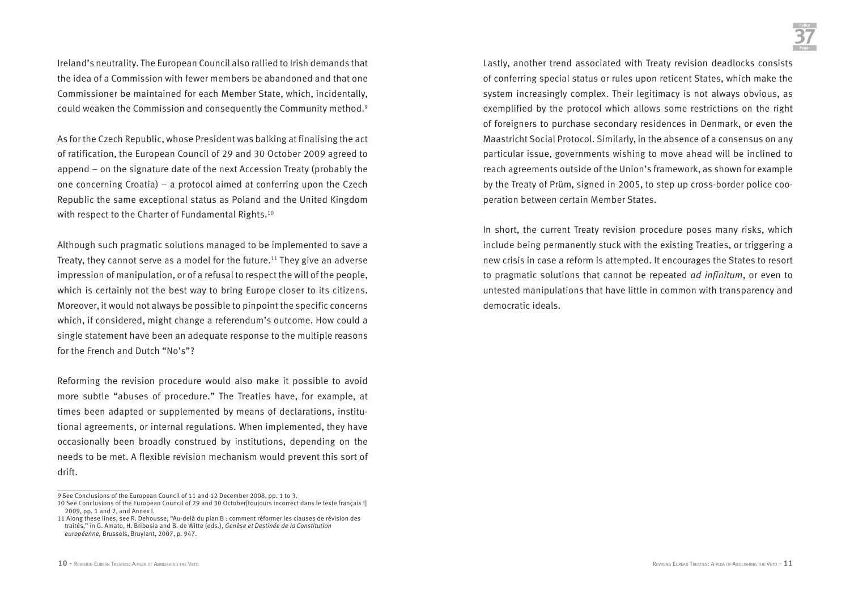Ireland's neutrality. The European Council also rallied to Irish demands that the idea of a Commission with fewer members be abandoned and that one Commissioner be maintained for each Member State, which, incidentally, could weaken the Commission and consequently the Community method.9

As for the Czech Republic, whose President was balking at finalising the act of ratification, the European Council of 29 and 30 October 2009 agreed to append – on the signature date of the next Accession Treaty (probably the one concerning Croatia) – a protocol aimed at conferring upon the Czech Republic the same exceptional status as Poland and the United Kingdom with respect to the Charter of Fundamental Rights.<sup>10</sup>

Although such pragmatic solutions managed to be implemented to save a Treaty, they cannot serve as a model for the future.<sup>11</sup> They give an adverse impression of manipulation, or of a refusal to respect the will of the people, which is certainly not the best way to bring Europe closer to its citizens. Moreover, it would not always be possible to pinpoint the specific concerns which, if considered, might change a referendum's outcome. How could a single statement have been an adequate response to the multiple reasons for the French and Dutch "No's"?

Reforming the revision procedure would also make it possible to avoid more subtle "abuses of procedure." The Treaties have, for example, at times been adapted or supplemented by means of declarations, institutional agreements, or internal regulations. When implemented, they have occasionally been broadly construed by institutions, depending on the needs to be met. A flexible revision mechanism would prevent this sort of drift.

Lastly, another trend associated with Treaty revision deadlocks consists of conferring special status or rules upon reticent States, which make the system increasingly complex. Their legitimacy is not always obvious, as exemplified by the protocol which allows some restrictions on the right of foreigners to purchase secondary residences in Denmark, or even the Maastricht Social Protocol. Similarly, in the absence of a consensus on any particular issue, governments wishing to move ahead will be inclined to reach agreements outside of the Union's framework, as shown for example by the Treaty of Prüm, signed in 2005, to step up cross-border police cooperation between certain Member States.

In short, the current Treaty revision procedure poses many risks, which include being permanently stuck with the existing Treaties, or triggering a new crisis in case a reform is attempted. It encourages the States to resort to pragmatic solutions that cannot be repeated *ad infinitum*, or even to untested manipulations that have little in common with transparency and democratic ideals.

<sup>9</sup> See Conclusions of the European Council of 11 and 12 December 2008, pp. 1 to 3.

<sup>10</sup> See Conclusions of the European Council of 29 and 30 October[toujours incorrect dans le texte français !] 2009, pp. 1 and 2, and Annex I.

<sup>11</sup> Along these lines, see R. Dehousse, "Au-delà du plan B : comment réformer les clauses de révision des traités," in G. Amato, H. Bribosia and B. de Witte (eds.), *Genèse et Destinée de la Constitution européenne,* Brussels, Bruylant, 2007, p. 947.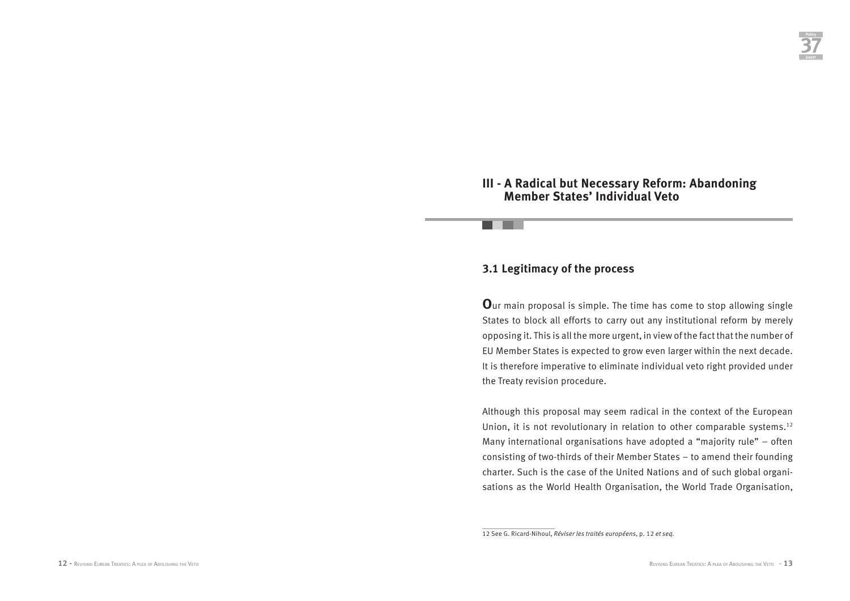### **III - A Radical but Necessary Reform: Abandoning Member States' Individual Veto**

### **3.1 Legitimacy of the process**

**O**ur main proposal is simple. The time has come to stop allowing single States to block all efforts to carry out any institutional reform by merely opposing it. This is all the more urgent, in view of the fact that the number of EU Member States is expected to grow even larger within the next decade. It is therefore imperative to eliminate individual veto right provided under the Treaty revision procedure.

Although this proposal may seem radical in the context of the European Union, it is not revolutionary in relation to other comparable systems.<sup>12</sup> Many international organisations have adopted a "majority rule" – often consisting of two-thirds of their Member States – to amend their founding charter. Such is the case of the United Nations and of such global organisations as the World Health Organisation, the World Trade Organisation,

<sup>12</sup> See G. Ricard-Nihoul, *Réviser les traités européens*, p. 12 *et seq.*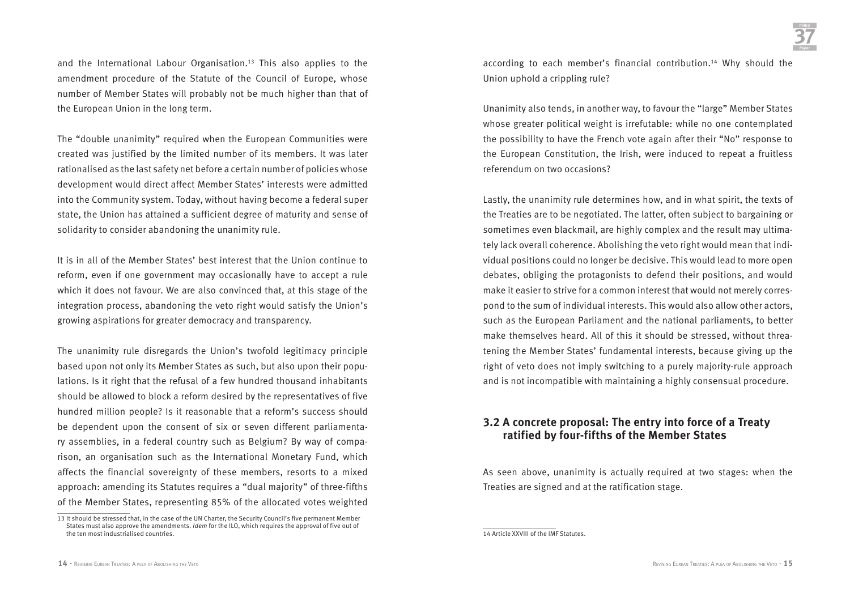and the International Labour Organisation.13 This also applies to the amendment procedure of the Statute of the Council of Europe, whose number of Member States will probably not be much higher than that of the European Union in the long term.

The "double unanimity" required when the European Communities were created was justified by the limited number of its members. It was later rationalised as the last safety net before a certain number of policies whose development would direct affect Member States' interests were admitted into the Community system. Today, without having become a federal super state, the Union has attained a sufficient degree of maturity and sense of solidarity to consider abandoning the unanimity rule.

It is in all of the Member States' best interest that the Union continue to reform, even if one government may occasionally have to accept a rule which it does not favour. We are also convinced that, at this stage of the integration process, abandoning the veto right would satisfy the Union's growing aspirations for greater democracy and transparency.

The unanimity rule disregards the Union's twofold legitimacy principle based upon not only its Member States as such, but also upon their populations. Is it right that the refusal of a few hundred thousand inhabitants should be allowed to block a reform desired by the representatives of five hundred million people? Is it reasonable that a reform's success should be dependent upon the consent of six or seven different parliamentary assemblies, in a federal country such as Belgium? By way of comparison, an organisation such as the International Monetary Fund, which affects the financial sovereignty of these members, resorts to a mixed approach: amending its Statutes requires a "dual majority" of three-fifths of the Member States, representing 85% of the allocated votes weighted

according to each member's financial contribution.14 Why should the Union uphold a crippling rule?

Unanimity also tends, in another way, to favour the "large" Member States whose greater political weight is irrefutable: while no one contemplated the possibility to have the French vote again after their "No" response to the European Constitution, the Irish, were induced to repeat a fruitless referendum on two occasions?

Lastly, the unanimity rule determines how, and in what spirit, the texts of the Treaties are to be negotiated. The latter, often subject to bargaining or sometimes even blackmail, are highly complex and the result may ultimately lack overall coherence. Abolishing the veto right would mean that individual positions could no longer be decisive. This would lead to more open debates, obliging the protagonists to defend their positions, and would make it easier to strive for a common interest that would not merely correspond to the sum of individual interests. This would also allow other actors, such as the European Parliament and the national parliaments, to better make themselves heard. All of this it should be stressed, without threatening the Member States' fundamental interests, because giving up the right of veto does not imply switching to a purely majority-rule approach and is not incompatible with maintaining a highly consensual procedure.

### **3.2 A concrete proposal: The entry into force of a Treaty ratified by four-fifths of the Member States**

As seen above, unanimity is actually required at two stages: when the Treaties are signed and at the ratification stage.

<sup>13</sup> It should be stressed that, in the case of the UN Charter, the Security Council's five permanent Member States must also approve the amendments. *Idem* for the ILO, which requires the approval of five out of the ten most industrialised countries.

<sup>14</sup> Article XXVIII of the IMF Statutes.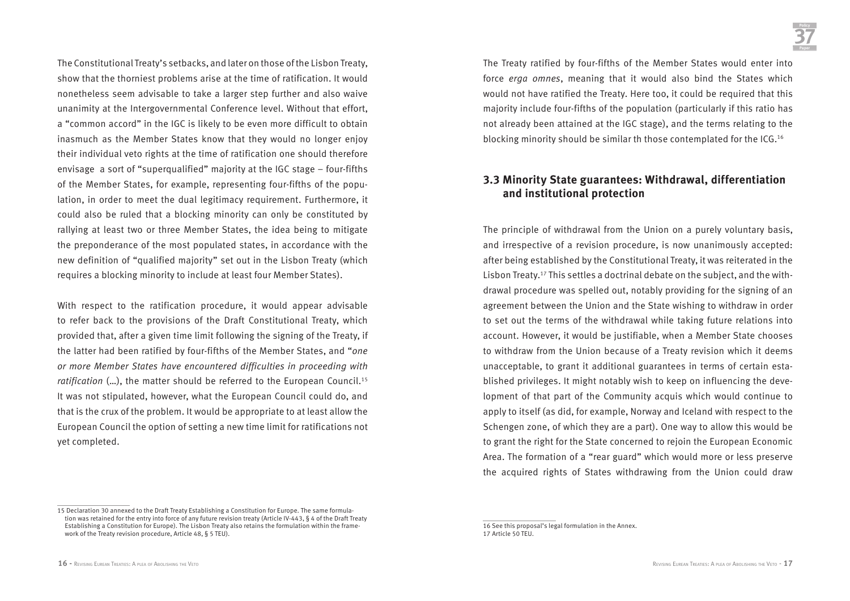The Constitutional Treaty's setbacks, and later on those of the Lisbon Treaty, show that the thorniest problems arise at the time of ratification. It would nonetheless seem advisable to take a larger step further and also waive unanimity at the Intergovernmental Conference level. Without that effort, a "common accord" in the IGC is likely to be even more difficult to obtain inasmuch as the Member States know that they would no longer enjoy their individual veto rights at the time of ratification one should therefore envisage a sort of "superqualified" majority at the IGC stage – four-fifths of the Member States, for example, representing four-fifths of the population, in order to meet the dual legitimacy requirement. Furthermore, it could also be ruled that a blocking minority can only be constituted by rallying at least two or three Member States, the idea being to mitigate the preponderance of the most populated states, in accordance with the new definition of "qualified majority" set out in the Lisbon Treaty (which requires a blocking minority to include at least four Member States).

With respect to the ratification procedure, it would appear advisable to refer back to the provisions of the Draft Constitutional Treaty, which provided that, after a given time limit following the signing of the Treaty, if the latter had been ratified by four-fifths of the Member States, and "*one or more Member States have encountered difficulties in proceeding with ratification* (...), the matter should be referred to the European Council.<sup>15</sup> It was not stipulated, however, what the European Council could do, and that is the crux of the problem. It would be appropriate to at least allow the European Council the option of setting a new time limit for ratifications not yet completed.

The Treaty ratified by four-fifths of the Member States would enter into force *erga omnes*, meaning that it would also bind the States which would not have ratified the Treaty. Here too, it could be required that this majority include four-fifths of the population (particularly if this ratio has not already been attained at the IGC stage), and the terms relating to the blocking minority should be similar th those contemplated for the ICG.16

### **3.3 Minority State guarantees: Withdrawal, differentiation and institutional protection**

The principle of withdrawal from the Union on a purely voluntary basis, and irrespective of a revision procedure, is now unanimously accepted: after being established by the Constitutional Treaty, it was reiterated in the Lisbon Treaty.17 This settles a doctrinal debate on the subject, and the withdrawal procedure was spelled out, notably providing for the signing of an agreement between the Union and the State wishing to withdraw in order to set out the terms of the withdrawal while taking future relations into account. However, it would be justifiable, when a Member State chooses to withdraw from the Union because of a Treaty revision which it deems unacceptable, to grant it additional guarantees in terms of certain established privileges. It might notably wish to keep on influencing the development of that part of the Community acquis which would continue to apply to itself (as did, for example, Norway and Iceland with respect to the Schengen zone, of which they are a part). One way to allow this would be to grant the right for the State concerned to rejoin the European Economic Area. The formation of a "rear guard" which would more or less preserve the acquired rights of States withdrawing from the Union could draw

<sup>15</sup> Declaration 30 annexed to the Draft Treaty Establishing a Constitution for Europe. The same formula tion was retained for the entry into force of any future revision treaty (Article IV-443, § 4 of the Draft Treaty Establishing a Constitution for Europe). The Lisbon Treaty also retains the formulation within the frame work of the Treaty revision procedure, Article 48, § 5 TEU).

<sup>16</sup> See this proposal's legal formulation in the Annex. 17 Article 50 TEU.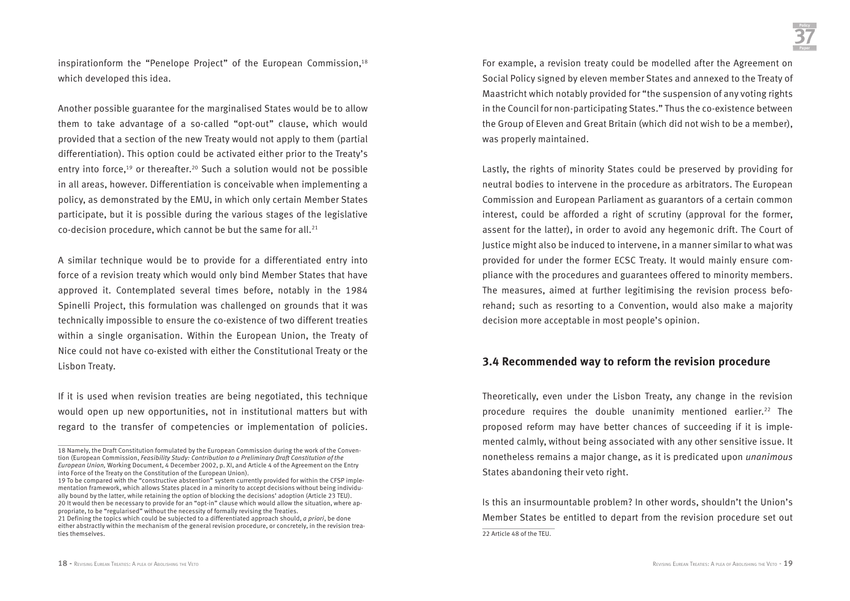inspirationform the "Penelope Project" of the European Commission,<sup>18</sup> which developed this idea.

Another possible guarantee for the marginalised States would be to allow them to take advantage of a so-called "opt-out" clause, which would provided that a section of the new Treaty would not apply to them (partial differentiation). This option could be activated either prior to the Treaty's entry into force,<sup>19</sup> or thereafter.<sup>20</sup> Such a solution would not be possible in all areas, however. Differentiation is conceivable when implementing a policy, as demonstrated by the EMU, in which only certain Member States participate, but it is possible during the various stages of the legislative co-decision procedure, which cannot be but the same for all. $21$ 

A similar technique would be to provide for a differentiated entry into force of a revision treaty which would only bind Member States that have approved it. Contemplated several times before, notably in the 1984 Spinelli Project, this formulation was challenged on grounds that it was technically impossible to ensure the co-existence of two different treaties within a single organisation. Within the European Union, the Treaty of Nice could not have co-existed with either the Constitutional Treaty or the Lisbon Treaty.

If it is used when revision treaties are being negotiated, this technique would open up new opportunities, not in institutional matters but with regard to the transfer of competencies or implementation of policies. For example, a revision treaty could be modelled after the Agreement on Social Policy signed by eleven member States and annexed to the Treaty of Maastricht which notably provided for "the suspension of any voting rights in the Council for non-participating States." Thus the co-existence between the Group of Eleven and Great Britain (which did not wish to be a member), was properly maintained.

Lastly, the rights of minority States could be preserved by providing for neutral bodies to intervene in the procedure as arbitrators. The European Commission and European Parliament as guarantors of a certain common interest, could be afforded a right of scrutiny (approval for the former, assent for the latter), in order to avoid any hegemonic drift. The Court of Justice might also be induced to intervene, in a manner similar to what was provided for under the former ECSC Treaty. It would mainly ensure compliance with the procedures and guarantees offered to minority members. The measures, aimed at further legitimising the revision process beforehand; such as resorting to a Convention, would also make a majority decision more acceptable in most people's opinion.

### **3.4 Recommended way to reform the revision procedure**

Theoretically, even under the Lisbon Treaty, any change in the revision procedure requires the double unanimity mentioned earlier.22 The proposed reform may have better chances of succeeding if it is implemented calmly, without being associated with any other sensitive issue. It nonetheless remains a major change, as it is predicated upon *unanimous*  States abandoning their veto right.

Is this an insurmountable problem? In other words, shouldn't the Union's Member States be entitled to depart from the revision procedure set out 22 Article 48 of the TELL

<sup>18</sup> Namely, the Draft Constitution formulated by the European Commission during the work of the Convention (European Commission, *Feasibility Study: Contribution to a Preliminary Draft Constitution of the European Union,* Working Document, 4 December 2002, p. XI, and Article 4 of the Agreement on the Entry into Force of the Treaty on the Constitution of the European Union).

<sup>19</sup> To be compared with the "constructive abstention" system currently provided for within the CFSP implementation framework, which allows States placed in a minority to accept decisions without being individually bound by the latter, while retaining the option of blocking the decisions' adoption (Article 23 TEU). 20 It would then be necessary to provide for an "opt-in" clause which would allow the situation, where appropriate, to be "regularised" without the necessity of formally revising the Treaties.

<sup>21</sup> Defining the topics which could be subjected to a differentiated approach should, *a priori*, be done either abstractly within the mechanism of the general revision procedure, or concretely, in the revision treaties themselves.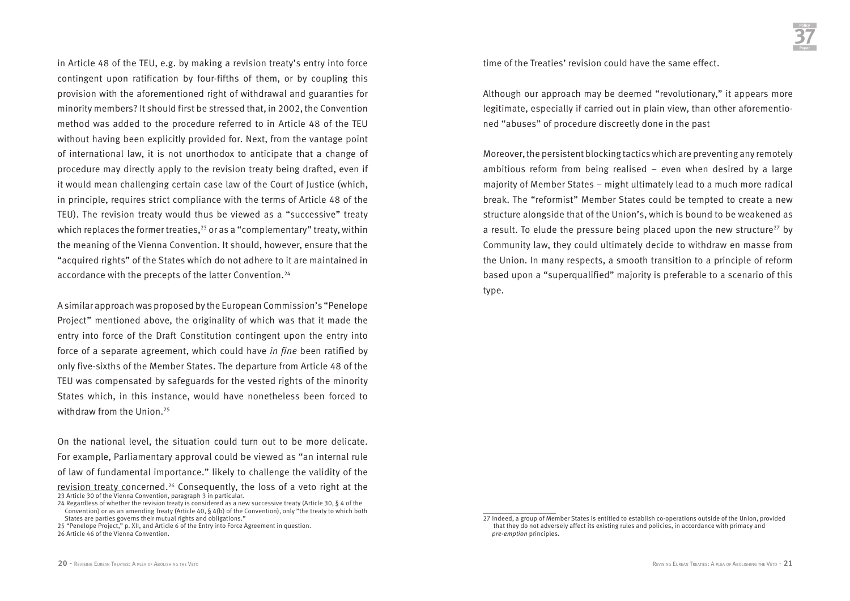in Article 48 of the TEU, e.g. by making a revision treaty's entry into force contingent upon ratification by four-fifths of them, or by coupling this provision with the aforementioned right of withdrawal and guaranties for minority members? It should first be stressed that, in 2002, the Convention method was added to the procedure referred to in Article 48 of the TEU without having been explicitly provided for. Next, from the vantage point of international law, it is not unorthodox to anticipate that a change of procedure may directly apply to the revision treaty being drafted, even if it would mean challenging certain case law of the Court of Justice (which, in principle, requires strict compliance with the terms of Article 48 of the TEU). The revision treaty would thus be viewed as a "successive" treaty which replaces the former treaties,<sup>23</sup> or as a "complementary" treaty, within the meaning of the Vienna Convention. It should, however, ensure that the "acquired rights" of the States which do not adhere to it are maintained in accordance with the precepts of the latter Convention.<sup>24</sup>

A similar approach was proposed by the European Commission's "Penelope Project" mentioned above, the originality of which was that it made the entry into force of the Draft Constitution contingent upon the entry into force of a separate agreement, which could have *in fine* been ratified by only five-sixths of the Member States. The departure from Article 48 of the TEU was compensated by safeguards for the vested rights of the minority States which, in this instance, would have nonetheless been forced to withdraw from the Union.<sup>25</sup>

On the national level, the situation could turn out to be more delicate. For example, Parliamentary approval could be viewed as "an internal rule of law of fundamental importance." likely to challenge the validity of the revision treaty concerned.26 Consequently, the loss of a veto right at the 23 Article 30 of the Vienna Convention, paragraph 3 in particular.

time of the Treaties' revision could have the same effect.

Although our approach may be deemed "revolutionary," it appears more legitimate, especially if carried out in plain view, than other aforementioned "abuses" of procedure discreetly done in the past

Moreover, the persistent blocking tactics which are preventing any remotely ambitious reform from being realised – even when desired by a large majority of Member States – might ultimately lead to a much more radical break. The "reformist" Member States could be tempted to create a new structure alongside that of the Union's, which is bound to be weakened as a result. To elude the pressure being placed upon the new structure<sup>27</sup> by Community law, they could ultimately decide to withdraw en masse from the Union. In many respects, a smooth transition to a principle of reform based upon a "superqualified" majority is preferable to a scenario of this type.

<sup>24</sup> Regardless of whether the revision treaty is considered as a new successive treaty (Article 30, § 4 of the Convention) or as an amending Treaty (Article 40, § 4(b) of the Convention), only "the treaty to which both States are parties governs their mutual rights and obligations."

<sup>25 &</sup>quot;Penelope Project," p. XII, and Article 6 of the Entry into Force Agreement in question. 26 Article 46 of the Vienna Convention.

<sup>27</sup> Indeed, a group of Member States is entitled to establish co-operations outside of the Union, provided that they do not adversely affect its existing rules and policies, in accordance with primacy and *pre-emption* principles.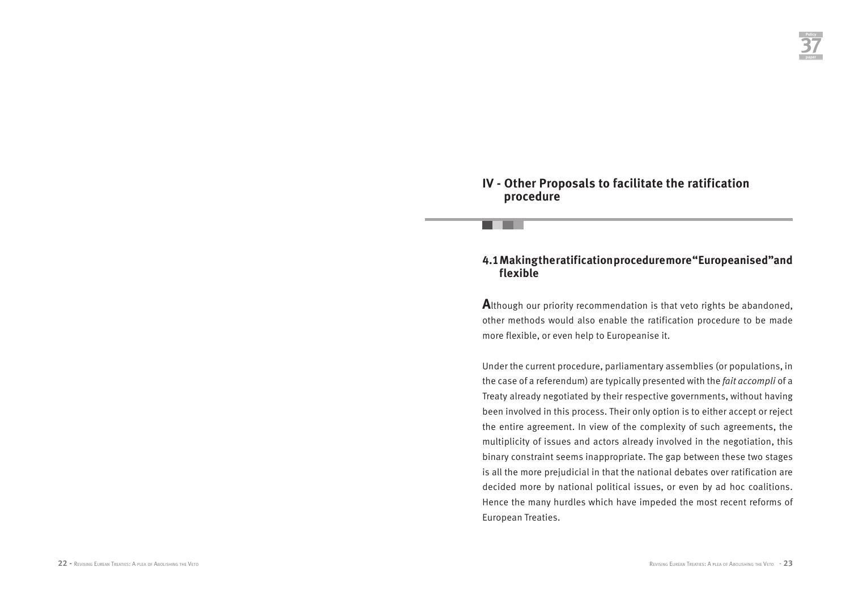### **IV - Other Proposals to facilitate the ratification procedure**

### **4.1 Making the ratification procedure more "Europeanised"and flexible**

**A**lthough our priority recommendation is that veto rights be abandoned, other methods would also enable the ratification procedure to be made more flexible, or even help to Europeanise it.

Under the current procedure, parliamentary assemblies (or populations, in the case of a referendum) are typically presented with the *fait accompli* of a Treaty already negotiated by their respective governments, without having been involved in this process. Their only option is to either accept or reject the entire agreement. In view of the complexity of such agreements, the multiplicity of issues and actors already involved in the negotiation, this binary constraint seems inappropriate. The gap between these two stages is all the more prejudicial in that the national debates over ratification are decided more by national political issues, or even by ad hoc coalitions. Hence the many hurdles which have impeded the most recent reforms of European Treaties.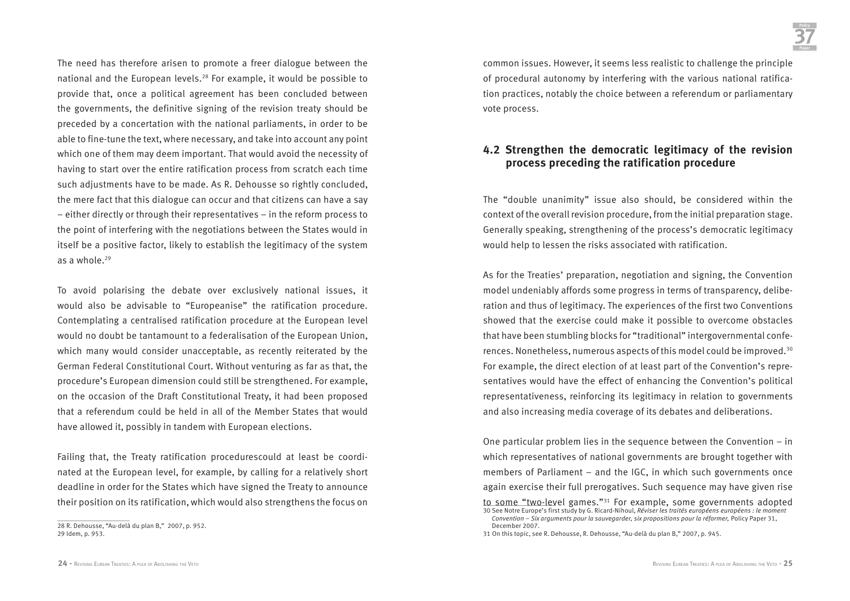The need has therefore arisen to promote a freer dialogue between the national and the European levels.28 For example, it would be possible to provide that, once a political agreement has been concluded between the governments, the definitive signing of the revision treaty should be preceded by a concertation with the national parliaments, in order to be able to fine-tune the text, where necessary, and take into account any point which one of them may deem important. That would avoid the necessity of having to start over the entire ratification process from scratch each time such adjustments have to be made. As R. Dehousse so rightly concluded, the mere fact that this dialogue can occur and that citizens can have a say – either directly or through their representatives – in the reform process to the point of interfering with the negotiations between the States would in itself be a positive factor, likely to establish the legitimacy of the system as a whole.29

To avoid polarising the debate over exclusively national issues, it would also be advisable to "Europeanise" the ratification procedure. Contemplating a centralised ratification procedure at the European level would no doubt be tantamount to a federalisation of the European Union, which many would consider unacceptable, as recently reiterated by the German Federal Constitutional Court. Without venturing as far as that, the procedure's European dimension could still be strengthened. For example, on the occasion of the Draft Constitutional Treaty, it had been proposed that a referendum could be held in all of the Member States that would have allowed it, possibly in tandem with European elections.

Failing that, the Treaty ratification procedurescould at least be coordinated at the European level, for example, by calling for a relatively short deadline in order for the States which have signed the Treaty to announce their position on its ratification, which would also strengthens the focus on

common issues. However, it seems less realistic to challenge the principle of procedural autonomy by interfering with the various national ratification practices, notably the choice between a referendum or parliamentary vote process.

### **4.2 Strengthen the democratic legitimacy of the revision process preceding the ratification procedure**

The "double unanimity" issue also should, be considered within the context of the overall revision procedure, from the initial preparation stage. Generally speaking, strengthening of the process's democratic legitimacy would help to lessen the risks associated with ratification.

As for the Treaties' preparation, negotiation and signing, the Convention model undeniably affords some progress in terms of transparency, deliberation and thus of legitimacy. The experiences of the first two Conventions showed that the exercise could make it possible to overcome obstacles that have been stumbling blocks for "traditional" intergovernmental conferences. Nonetheless, numerous aspects of this model could be improved.30 For example, the direct election of at least part of the Convention's representatives would have the effect of enhancing the Convention's political representativeness, reinforcing its legitimacy in relation to governments and also increasing media coverage of its debates and deliberations.

One particular problem lies in the sequence between the Convention – in which representatives of national governments are brought together with members of Parliament – and the IGC, in which such governments once again exercise their full prerogatives. Such sequence may have given rise to some "two-level games."31 For example, some governments adopted 30 See Notre Europe's first study by G. Ricard-Nihoul, *Réviser les traités européens européens : le moment* 

<sup>28</sup> R. Dehousse, "Au-delà du plan B," 2007, p. 952. 29 Idem, p. 953.

*Convention – Six arguments pour la sauvegarder, six propositions pour la réformer,* Policy Paper 31, December 2007.

<sup>31</sup> On this topic, see R. Dehousse, R. Dehousse, "Au-delà du plan B," 2007, p. 945.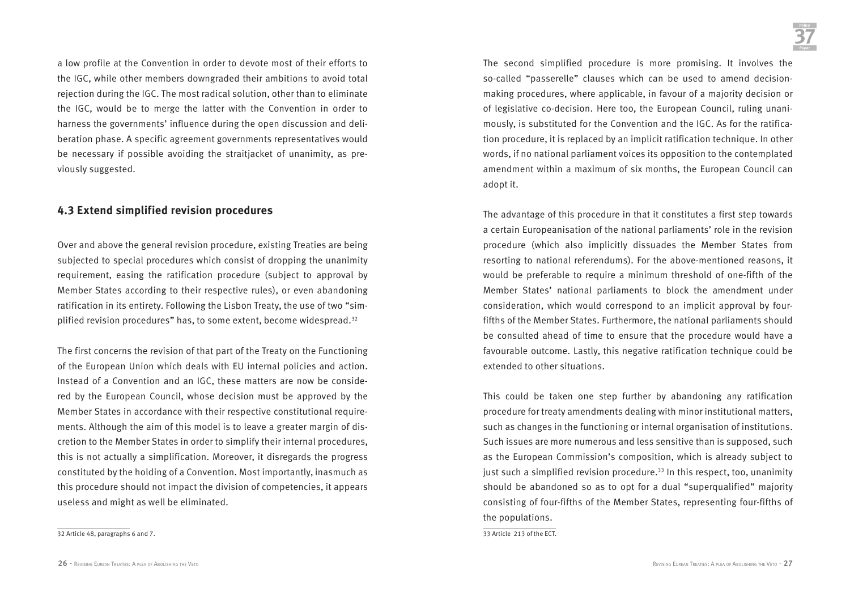a low profile at the Convention in order to devote most of their efforts to the IGC, while other members downgraded their ambitions to avoid total rejection during the IGC. The most radical solution, other than to eliminate the IGC, would be to merge the latter with the Convention in order to harness the governments' influence during the open discussion and deliberation phase. A specific agreement governments representatives would be necessary if possible avoiding the straitjacket of unanimity, as previously suggested.

### **4.3 Extend simplified revision procedures**

Over and above the general revision procedure, existing Treaties are being subjected to special procedures which consist of dropping the unanimity requirement, easing the ratification procedure (subject to approval by Member States according to their respective rules), or even abandoning ratification in its entirety. Following the Lisbon Treaty, the use of two "simplified revision procedures" has, to some extent, become widespread.<sup>32</sup>

The first concerns the revision of that part of the Treaty on the Functioning of the European Union which deals with EU internal policies and action. Instead of a Convention and an IGC, these matters are now be considered by the European Council, whose decision must be approved by the Member States in accordance with their respective constitutional requirements. Although the aim of this model is to leave a greater margin of discretion to the Member States in order to simplify their internal procedures, this is not actually a simplification. Moreover, it disregards the progress constituted by the holding of a Convention. Most importantly, inasmuch as this procedure should not impact the division of competencies, it appears useless and might as well be eliminated.

32 Article 48, paragraphs 6 and 7.

The second simplified procedure is more promising. It involves the so-called "passerelle" clauses which can be used to amend decisionmaking procedures, where applicable, in favour of a majority decision or of legislative co-decision. Here too, the European Council, ruling unanimously, is substituted for the Convention and the IGC. As for the ratification procedure, it is replaced by an implicit ratification technique. In other words, if no national parliament voices its opposition to the contemplated amendment within a maximum of six months, the European Council can adopt it.

The advantage of this procedure in that it constitutes a first step towards a certain Europeanisation of the national parliaments' role in the revision procedure (which also implicitly dissuades the Member States from resorting to national referendums). For the above-mentioned reasons, it would be preferable to require a minimum threshold of one-fifth of the Member States' national parliaments to block the amendment under consideration, which would correspond to an implicit approval by fourfifths of the Member States. Furthermore, the national parliaments should be consulted ahead of time to ensure that the procedure would have a favourable outcome. Lastly, this negative ratification technique could be extended to other situations.

This could be taken one step further by abandoning any ratification procedure for treaty amendments dealing with minor institutional matters, such as changes in the functioning or internal organisation of institutions. Such issues are more numerous and less sensitive than is supposed, such as the European Commission's composition, which is already subject to just such a simplified revision procedure.<sup>33</sup> In this respect, too, unanimity should be abandoned so as to opt for a dual "superqualified" majority consisting of four-fifths of the Member States, representing four-fifths of the populations.

33 Article 213 of the ECT.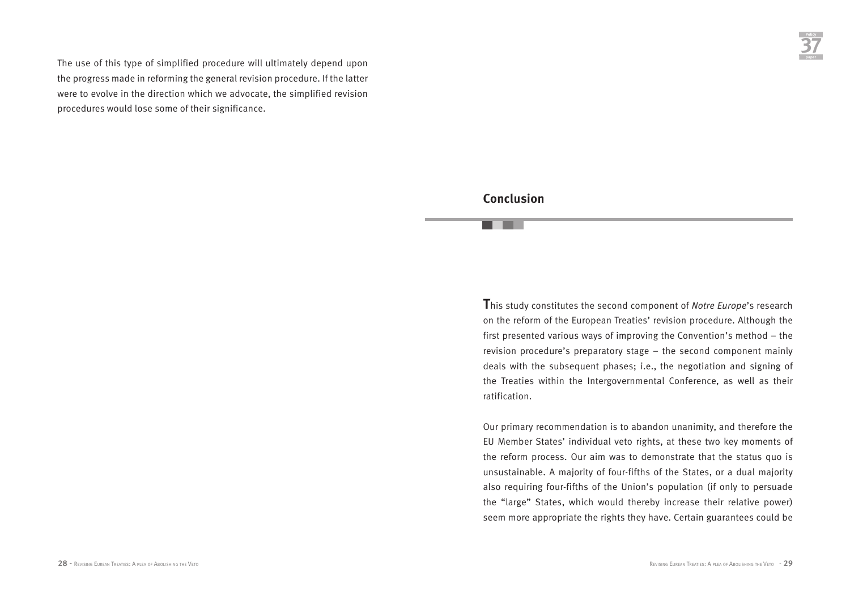The use of this type of simplified procedure will ultimately depend upon the progress made in reforming the general revision procedure. If the latter were to evolve in the direction which we advocate, the simplified revision procedures would lose some of their significance.

### **Conclusion**

**T**his study constitutes the second component of *Notre Europe*'s research on the reform of the European Treaties' revision procedure. Although the first presented various ways of improving the Convention's method – the revision procedure's preparatory stage – the second component mainly deals with the subsequent phases; i.e., the negotiation and signing of the Treaties within the Intergovernmental Conference, as well as their ratification.

Our primary recommendation is to abandon unanimity, and therefore the EU Member States' individual veto rights, at these two key moments of the reform process. Our aim was to demonstrate that the status quo is unsustainable. A majority of four-fifths of the States, or a dual majority also requiring four-fifths of the Union's population (if only to persuade the "large" States, which would thereby increase their relative power) seem more appropriate the rights they have. Certain guarantees could be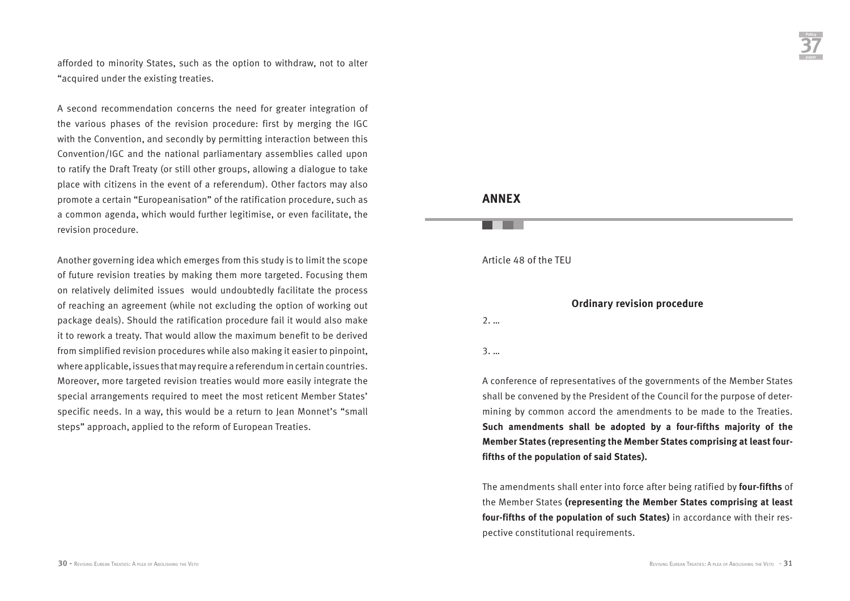afforded to minority States, such as the option to withdraw, not to alter "acquired under the existing treaties.

A second recommendation concerns the need for greater integration of the various phases of the revision procedure: first by merging the IGC with the Convention, and secondly by permitting interaction between this Convention/IGC and the national parliamentary assemblies called upon to ratify the Draft Treaty (or still other groups, allowing a dialogue to take place with citizens in the event of a referendum). Other factors may also promote a certain "Europeanisation" of the ratification procedure, such as a common agenda, which would further legitimise, or even facilitate, the revision procedure.

Another governing idea which emerges from this study is to limit the scope of future revision treaties by making them more targeted. Focusing them on relatively delimited issues would undoubtedly facilitate the process of reaching an agreement (while not excluding the option of working out package deals). Should the ratification procedure fail it would also make it to rework a treaty. That would allow the maximum benefit to be derived from simplified revision procedures while also making it easier to pinpoint, where applicable, issues that may require a referendum in certain countries. Moreover, more targeted revision treaties would more easily integrate the special arrangements required to meet the most reticent Member States' specific needs. In a way, this would be a return to Jean Monnet's "small steps" approach, applied to the reform of European Treaties.

## **Policy 37**

### **ANNEX**

### Article 48 of the TEU

### **Ordinary revision procedure**

2. …

3. …

A conference of representatives of the governments of the Member States shall be convened by the President of the Council for the purpose of determining by common accord the amendments to be made to the Treaties. **Such amendments shall be adopted by a four-fifths majority of the Member States (representing the Member States comprising at least fourfifths of the population of said States).**

The amendments shall enter into force after being ratified by **four-fifths** of the Member States **(representing the Member States comprising at least four-fifths of the population of such States)** in accordance with their respective constitutional requirements.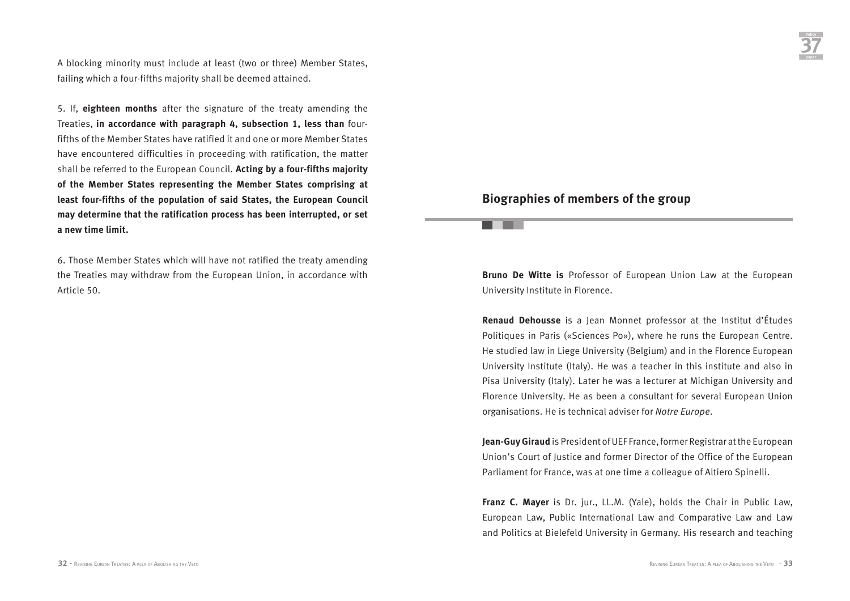A blocking minority must include at least (two or three) Member States, failing which a four-fifths majority shall be deemed attained.

5. If, **eighteen months** after the signature of the treaty amending the Treaties, **in accordance with paragraph 4, subsection 1, less than** fourfifths of the Member States have ratified it and one or more Member States have encountered difficulties in proceeding with ratification, the matter shall be referred to the European Council. **Acting by a four-fifths majority of the Member States representing the Member States comprising at least four-fifths of the population of said States, the European Council may determine that the ratification process has been interrupted, or set a new time limit.**

6. Those Member States which will have not ratified the treaty amending the Treaties may withdraw from the European Union, in accordance with Article 50.

### **Biographies of members of the group**

an an a

**Bruno De Witte is** Professor of European Union Law at the European University Institute in Florence.

**Renaud Dehousse** is a Jean Monnet professor at the Institut d'Études Politiques in Paris («Sciences Po»), where he runs the European Centre. He studied law in Liege University (Belgium) and in the Florence European University Institute (Italy). He was a teacher in this institute and also in Pisa University (Italy). Later he was a lecturer at Michigan University and Florence University. He as been a consultant for several European Union organisations. He is technical adviser for *Notre Europe*.

**Jean-Guy Giraud** is President of UEF France, former Registrar at the European Union's Court of Justice and former Director of the Office of the European Parliament for France, was at one time a colleague of Altiero Spinelli.

**Franz C. Mayer** is Dr. jur., LL.M. (Yale), holds the Chair in Public Law, European Law, Public International Law and Comparative Law and Law and Politics at Bielefeld University in Germany. His research and teaching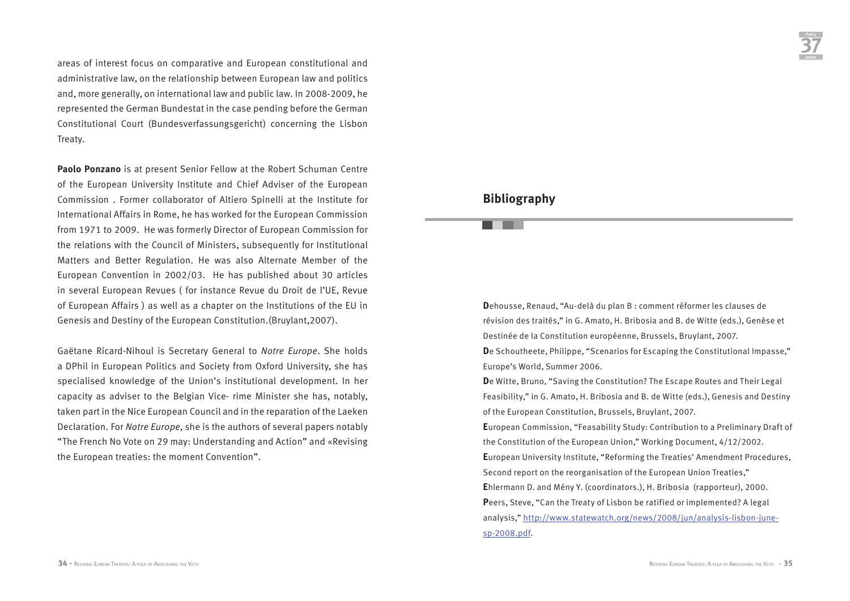areas of interest focus on comparative and European constitutional and administrative law, on the relationship between European law and politics and, more generally, on international law and public law. In 2008-2009, he represented the German Bundestat in the case pending before the German Constitutional Court (Bundesverfassungsgericht) concerning the Lisbon Treaty.

**Paolo Ponzano** is at present Senior Fellow at the Robert Schuman Centre of the European University Institute and Chief Adviser of the European Commission . Former collaborator of Altiero Spinelli at the Institute for International Affairs in Rome, he has worked for the European Commission from 1971 to 2009. He was formerly Director of European Commission for the relations with the Council of Ministers, subsequently for Institutional Matters and Better Regulation. He was also Alternate Member of the European Convention in 2002/03. He has published about 30 articles in several European Revues ( for instance Revue du Droit de l'UE, Revue of European Affairs ) as well as a chapter on the Institutions of the EU in Genesis and Destiny of the European Constitution.(Bruylant,2007).

Gaëtane Ricard-Nihoul is Secretary General to *Notre Europe*. She holds a DPhil in European Politics and Society from Oxford University, she has specialised knowledge of the Union's institutional development. In her capacity as adviser to the Belgian Vice- rime Minister she has, notably, taken part in the Nice European Council and in the reparation of the Laeken Declaration. For *Notre Europe*, she is the authors of several papers notably "The French No Vote on 29 may: Understanding and Action" and «Revising the European treaties: the moment Convention".

### **Bibliography**

**D**ehousse, Renaud, "Au-delà du plan B : comment réformer les clauses de révision des traités," in G. Amato, H. Bribosia and B. de Witte (eds.), Genèse et Destinée de la Constitution européenne, Brussels, Bruylant, 2007.

**D**e Schoutheete, Philippe, "Scenarios for Escaping the Constitutional Impasse," Europe's World, Summer 2006.

**D**e Witte, Bruno, "Saving the Constitution? The Escape Routes and Their Legal Feasibility," in G. Amato, H. Bribosia and B. de Witte (eds.), Genesis and Destiny of the European Constitution, Brussels, Bruylant, 2007.

**E**uropean Commission, "Feasability Study: Contribution to a Preliminary Draft of the Constitution of the European Union," Working Document, 4/12/2002. **E**uropean University Institute, "Reforming the Treaties' Amendment Procedures, Second report on the reorganisation of the European Union Treaties," **E**hlermann D. and Mény Y. (coordinators.), H. Bribosia (rapporteur), 2000. **P**eers, Steve, "Can the Treaty of Lisbon be ratified or implemented? A legal analysis," http://www.statewatch.org/news/2008/jun/analysis-lisbon-junesp-2008.pdf.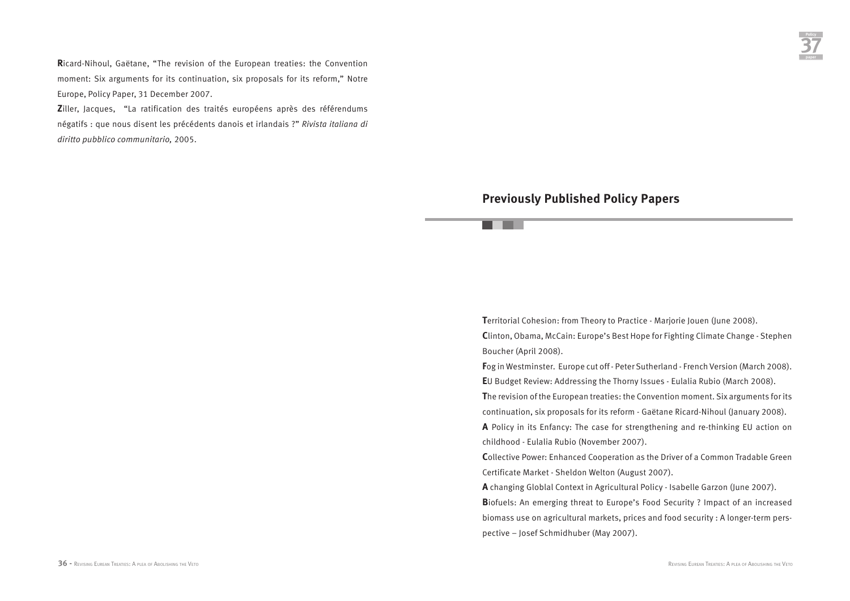**R**icard-Nihoul, Gaëtane, "The revision of the European treaties: the Convention moment: Six arguments for its continuation, six proposals for its reform," Notre Europe, Policy Paper, 31 December 2007.

**Z**iller, Jacques, "La ratification des traités européens après des référendums négatifs : que nous disent les précédents danois et irlandais ?" *Rivista italiana di diritto pubblico communitario,* 2005.

### **Previously Published Policy Papers**

. .

**T**erritorial Cohesion: from Theory to Practice - Marjorie Jouen (June 2008). **C**linton, Obama, McCain: Europe's Best Hope for Fighting Climate Change - Stephen Boucher (April 2008).

**F**og in Westminster. Europe cut off - Peter Sutherland - French Version (March 2008). **E**U Budget Review: Addressing the Thorny Issues - Eulalia Rubio (March 2008).

**T**he revision of the European treaties: the Convention moment. Six arguments for its continuation, six proposals for its reform - Gaëtane Ricard-Nihoul (January 2008).

**A** Policy in its Enfancy: The case for strengthening and re-thinking EU action on childhood - Eulalia Rubio (November 2007).

**C**ollective Power: Enhanced Cooperation as the Driver of a Common Tradable Green Certificate Market - Sheldon Welton (August 2007).

**A** changing Globlal Context in Agricultural Policy - Isabelle Garzon (June 2007).

**B**iofuels: An emerging threat to Europe's Food Security ? Impact of an increased biomass use on agricultural markets, prices and food security : A longer-term perspective – Josef Schmidhuber (May 2007).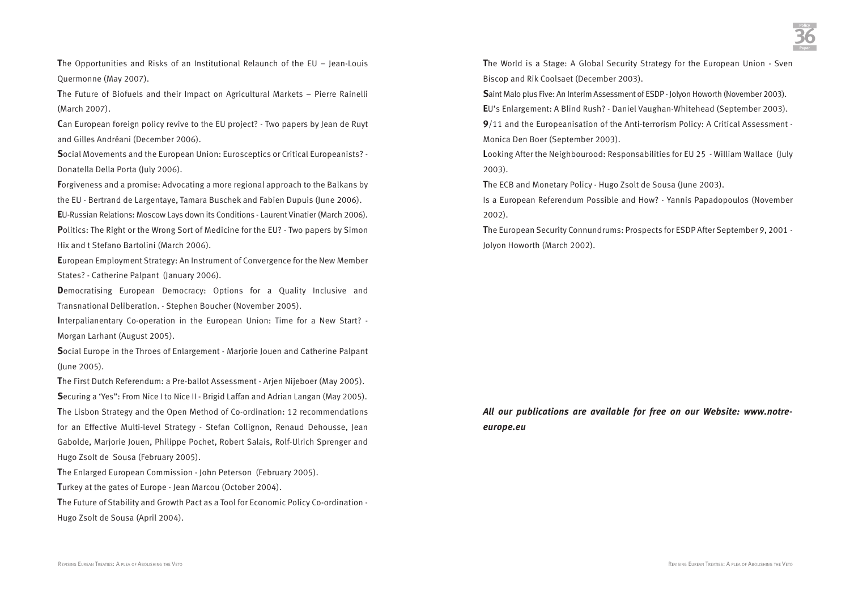**T**he Opportunities and Risks of an Institutional Relaunch of the EU – Jean-Louis Quermonne (May 2007).

**T**he Future of Biofuels and their Impact on Agricultural Markets – Pierre Rainelli (March 2007).

**C**an European foreign policy revive to the EU project? - Two papers by Jean de Ruyt and Gilles Andréani (December 2006).

**S**ocial Movements and the European Union: Eurosceptics or Critical Europeanists? - Donatella Della Porta (July 2006).

**F**orgiveness and a promise: Advocating a more regional approach to the Balkans by the EU - Bertrand de Largentaye, Tamara Buschek and Fabien Dupuis (June 2006).

**E**U-Russian Relations: Moscow Lays down its Conditions - Laurent Vinatier (March 2006).

**P**olitics: The Right or the Wrong Sort of Medicine for the EU? - Two papers by Simon Hix and t Stefano Bartolini (March 2006).

**E**uropean Employment Strategy: An Instrument of Convergence for the New Member States? - Catherine Palpant (January 2006).

**Democratising European Democracy: Options for a Quality Inclusive and** Transnational Deliberation. - Stephen Boucher (November 2005).

**I**nterpalianentary Co-operation in the European Union: Time for a New Start? - Morgan Larhant (August 2005).

**S**ocial Europe in the Throes of Enlargement - Marjorie Jouen and Catherine Palpant (June 2005).

**T**he First Dutch Referendum: a Pre-ballot Assessment - Arjen Nijeboer (May 2005). **S**ecuring a 'Yes": From Nice I to Nice II - Brigid Laffan and Adrian Langan (May 2005). **T**he Lisbon Strategy and the Open Method of Co-ordination: 12 recommendations for an Effective Multi-level Strategy - Stefan Collignon, Renaud Dehousse, Jean Gabolde, Marjorie Jouen, Philippe Pochet, Robert Salais, Rolf-Ulrich Sprenger and Hugo Zsolt de Sousa (February 2005).

**T**he Enlarged European Commission - John Peterson (February 2005).

**T**urkey at the gates of Europe - Jean Marcou (October 2004).

**T**he Future of Stability and Growth Pact as a Tool for Economic Policy Co-ordination - Hugo Zsolt de Sousa (April 2004).

**T**he World is a Stage: A Global Security Strategy for the European Union - Sven Biscop and Rik Coolsaet (December 2003).

**S**aint Malo plus Five: An Interim Assessment of ESDP - Jolyon Howorth (November 2003). **E**U's Enlargement: A Blind Rush? - Daniel Vaughan-Whitehead (September 2003).

**9**/11 and the Europeanisation of the Anti-terrorism Policy: A Critical Assessment - Monica Den Boer (September 2003).

**L**ooking After the Neighbourood: Responsabilities for EU 25 - William Wallace (July 2003).

**T**he ECB and Monetary Policy - Hugo Zsolt de Sousa (June 2003).

Is a European Referendum Possible and How? - Yannis Papadopoulos (November 2002).

**T**he European Security Connundrums: Prospects for ESDP After September 9, 2001 - Jolyon Howorth (March 2002).

### *All our publications are available for free on our Website: www.notreeurope.eu*